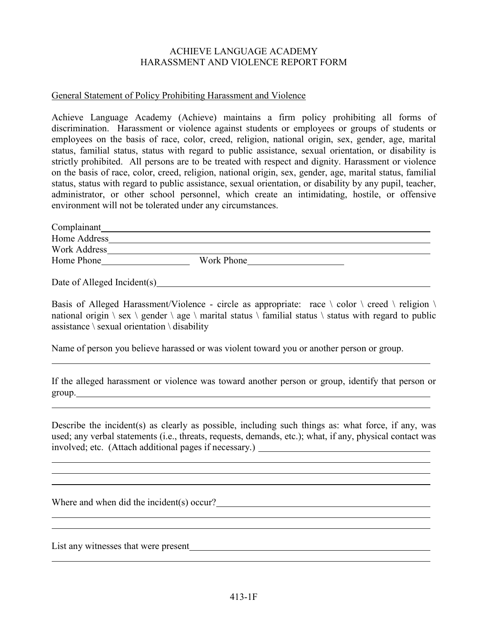## ACHIEVE LANGUAGE ACADEMY HARASSMENT AND VIOLENCE REPORT FORM

## General Statement of Policy Prohibiting Harassment and Violence

Achieve Language Academy (Achieve) maintains a firm policy prohibiting all forms of discrimination. Harassment or violence against students or employees or groups of students or employees on the basis of race, color, creed, religion, national origin, sex, gender, age, marital status, familial status, status with regard to public assistance, sexual orientation, or disability is strictly prohibited. All persons are to be treated with respect and dignity. Harassment or violence on the basis of race, color, creed, religion, national origin, sex, gender, age, marital status, familial status, status with regard to public assistance, sexual orientation, or disability by any pupil, teacher, administrator, or other school personnel, which create an intimidating, hostile, or offensive environment will not be tolerated under any circumstances.

| Complainant                 |            |  |
|-----------------------------|------------|--|
| Home Address                |            |  |
| Work Address                |            |  |
| Home Phone                  | Work Phone |  |
| Date of Alleged Incident(s) |            |  |

Basis of Alleged Harassment/Violence - circle as appropriate: race  $\setminus$  color  $\setminus$  creed  $\setminus$  religion  $\setminus$ national origin  $\$ sex  $\$  gender  $\$ age  $\$  marital status  $\$  familial status  $\$  status with regard to public assistance  $\setminus$  sexual orientation  $\setminus$  disability

Name of person you believe harassed or was violent toward you or another person or group.

If the alleged harassment or violence was toward another person or group, identify that person or group. **Example 2018 Contract Contract Contract Contract Contract Contract Contract Contract Contract Contract Contract Contract Contract Contract Contract Contract Contract Contract Contract Contract Contract Contract C** 

Describe the incident(s) as clearly as possible, including such things as: what force, if any, was used; any verbal statements (i.e., threats, requests, demands, etc.); what, if any, physical contact was involved; etc. (Attach additional pages if necessary.)

Where and when did the incident(s) occur?<br>
<u>
</u>

List any witnesses that were present